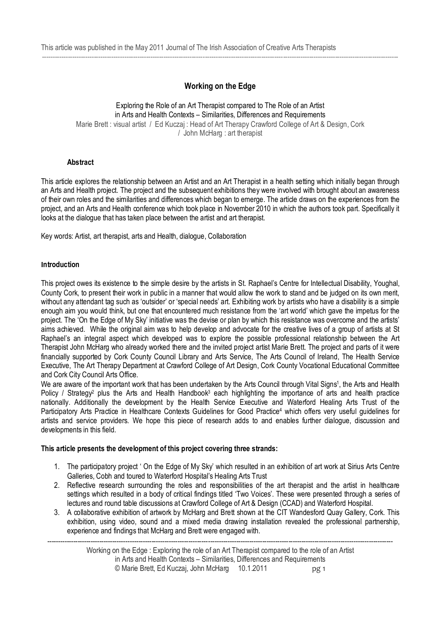# **Working on the Edge**

--------------------------------------------------------------------------------------------------------------------------------------------------------------------

#### Exploring the Role of an Art Therapist compared to The Role of an Artist in Arts and Health Contexts – Similarities, Differences and Requirements Marie Brett : visual artist / Ed Kuczaj : Head of Art Therapy Crawford College of Art & Design, Cork / John McHarg : art therapist

#### **Abstract**

This article explores the relationship between an Artist and an Art Therapist in a health setting which initially began through an Arts and Health project. The project and the subsequent exhibitions they were involved with brought about an awareness of their own roles and the similarities and differences which began to emerge. The article draws on the experiences from the project, and an Arts and Health conference which took place in November 2010 in which the authors took part. Specifically it looks at the dialogue that has taken place between the artist and art therapist.

Key words: Artist, art therapist, arts and Health, dialogue, Collaboration

#### **Introduction**

This project owes its existence to the simple desire by the artists in St. Raphael's Centre for Intellectual Disability, Youghal, County Cork, to present their work in public in a manner that would allow the work to stand and be judged on its own merit, without any attendant tag such as 'outsider' or 'special needs' art. Exhibiting work by artists who have a disability is a simple enough aim you would think, but one that encountered much resistance from the 'art world' which gave the impetus for the project. The 'On the Edge of My Sky' initiative was the devise or plan by which this resistance was overcome and the artists' aims achieved. While the original aim was to help develop and advocate for the creative lives of a group of artists at St Raphael's an integral aspect which developed was to explore the possible professional relationship between the Art Therapist John McHarg who already worked there and the invited project artist Marie Brett. The project and parts of it were financially supported by Cork County Council Library and Arts Service, The Arts Council of Ireland, The Health Service Executive, The Art Therapy Department at Crawford College of Art Design, Cork County Vocational Educational Committee and Cork City Council Arts Office.

We are aware of the important work that has been undertaken by the Arts Council through Vital Signs<sup>1</sup>, the Arts and Health Policy / Strategy<sup>2</sup> plus the Arts and Health Handbook<sup>3</sup> each highlighting the importance of arts and health practice nationally. Additionally the development by the Health Service Executive and Waterford Healing Arts Trust of the Participatory Arts Practice in Healthcare Contexts Guidelines for Good Practice<sup>4</sup> which offers very useful quidelines for artists and service providers. We hope this piece of research adds to and enables further dialogue, discussion and developments in this field.

#### **This article presents the development of this project covering three strands:**

- 1. The participatory project ' On the Edge of My Sky' which resulted in an exhibition of art work at Sirius Arts Centre Galleries, Cobh and toured to Waterford Hospital's Healing Arts Trust
- 2. Reflective research surrounding the roles and responsibilities of the art therapist and the artist in healthcare settings which resulted in a body of critical findings titled 'Two Voices'. These were presented through a series of lectures and round table discussions at Crawford College of Art & Design (CCAD) and Waterford Hospital.
- 3. A collaborative exhibition of artwork by McHarg and Brett shown at the CIT Wandesford Quay Gallery, Cork. This exhibition, using video, sound and a mixed media drawing installation revealed the professional partnership, experience and findings that McHarg and Brett were engaged with.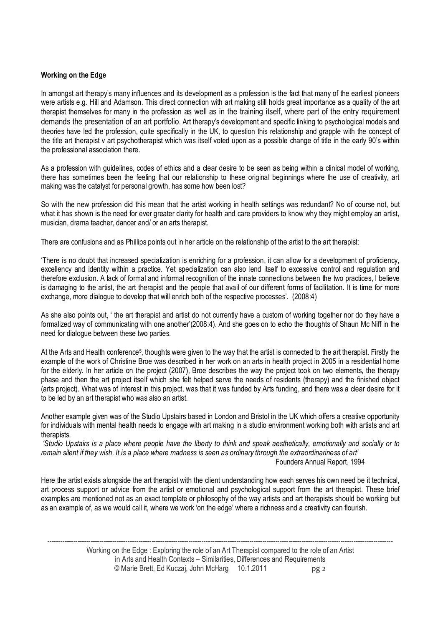## **Working on the Edge**

In amongst art therapy's many influences and its development as a profession is the fact that many of the earliest pioneers were artists e.g. Hill and Adamson. This direct connection with art making still holds great importance as a quality of the art therapist themselves for many in the profession as well as in the training itself, where part of the entry requirement demands the presentation of an art portfolio. Art therapy's development and specific linking to psychological models and theories have led the profession, quite specifically in the UK, to question this relationship and grapple with the concept of the title art therapist v art psychotherapist which was itself voted upon as a possible change of title in the early 90's within the professional association there.

As a profession with guidelines, codes of ethics and a clear desire to be seen as being within a clinical model of working, there has sometimes been the feeling that our relationship to these original beginnings where the use of creativity, art making was the catalyst for personal growth, has some how been lost?

So with the new profession did this mean that the artist working in health settings was redundant? No of course not, but what it has shown is the need for ever greater clarity for health and care providers to know why they might employ an artist, musician, drama teacher, dancer and/ or an arts therapist.

There are confusions and as Phillips points out in her article on the relationship of the artist to the art therapist:

'There is no doubt that increased specialization is enriching for a profession, it can allow for a development of proficiency, excellency and identity within a practice. Yet specialization can also lend itself to excessive control and regulation and therefore exclusion. A lack of formal and informal recognition of the innate connections between the two practices, l believe is damaging to the artist, the art therapist and the people that avail of our different forms of facilitation. It is time for more exchange, more dialogue to develop that will enrich both of the respective processes'. (2008:4)

As she also points out, ' the art therapist and artist do not currently have a custom of working together nor do they have a formalized way of communicating with one another'(2008:4). And she goes on to echo the thoughts of Shaun Mc Niff in the need for dialogue between these two parties.

At the Arts and Health conference<sup>5</sup>, thoughts were given to the way that the artist is connected to the art therapist. Firstly the example of the work of Christine Broe was described in her work on an arts in health project in 2005 in a residential home for the elderly. In her article on the project (2007), Broe describes the way the project took on two elements, the therapy phase and then the art project itself which she felt helped serve the needs of residents (therapy) and the finished object (arts project). What was of interest in this project, was that it was funded by Arts funding, and there was a clear desire for it to be led by an art therapist who was also an artist.

Another example given was of the Studio Upstairs based in London and Bristol in the UK which offers a creative opportunity for individuals with mental health needs to engage with art making in a studio environment working both with artists and art therapists.

 *'Studio Upstairs is a place where people have the liberty to think and speak aesthetically, emotionally and socially or to remain silent if they wish. It is a place where madness is seen as ordinary through the extraordinariness of art'*  Founders Annual Report. 1994

Here the artist exists alongside the art therapist with the client understanding how each serves his own need be it technical, art process support or advice from the artist or emotional and psychological support from the art therapist. These brief examples are mentioned not as an exact template or philosophy of the way artists and art therapists should be working but as an example of, as we would call it, where we work 'on the edge' where a richness and a creativity can flourish.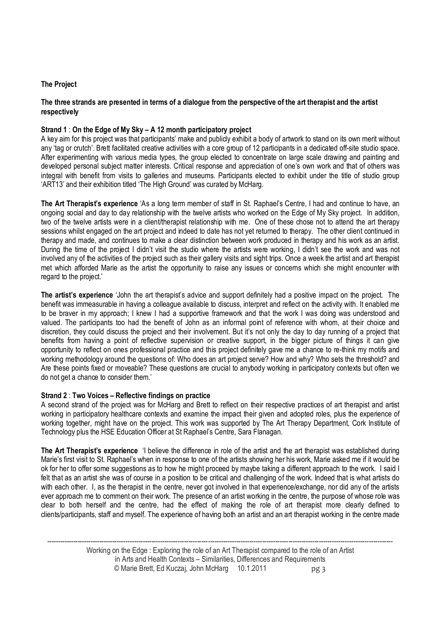# **The Project**

#### **The three strands are presented in terms of a dialogue from the perspective of the art therapist and the artist respectively**

# **Strand 1** : **On the Edge of My Sky – A 12 month participatory project**

A key aim for this project was that participants' make and publicly exhibit a body of artwork to stand on its own merit without any 'tag or crutch'. Brett facilitated creative activities with a core group of 12 participants in a dedicated off-site studio space. After experimenting with various media types, the group elected to concentrate on large scale drawing and painting and developed personal subject matter interests. Critical response and appreciation of one's own work and that of others was integral with benefit from visits to galleries and museums. Participants elected to exhibit under the title of studio group 'ART13' and their exhibition titled 'The High Ground' was curated by McHarg.

**The Art Therapist's experience** 'As a long term member of staff in St. Raphael's Centre, I had and continue to have, an ongoing social and day to day relationship with the twelve artists who worked on the Edge of My Sky project. In addition, two of the twelve artists were in a client/therapist relationship with me. One of these chose not to attend the art therapy sessions whilst engaged on the art project and indeed to date has not yet returned to therapy. The other client continued in therapy and made, and continues to make a clear distinction between work produced in therapy and his work as an artist. During the time of the project I didn't visit the studio where the artists were working, I didn't see the work and was not involved any of the activities of the project such as their gallery visits and sight trips. Once a week the artist and art therapist met which afforded Marie as the artist the opportunity to raise any issues or concerns which she might encounter with regard to the project.'

**The artist's experience** 'John the art therapist's advice and support definitely had a positive impact on the project. The benefit was immeasurable in having a colleague available to discuss, interpret and reflect on the activity with. It enabled me to be braver in my approach; I knew I had a supportive framework and that the work I was doing was understood and valued. The participants too had the benefit of John as an informal point of reference with whom, at their choice and discretion, they could discuss the project and their involvement. But it's not only the day to day running of a project that benefits from having a point of reflective supervision or creative support, in the bigger picture of things it can give opportunity to reflect on ones professional practice and this project definitely gave me a chance to re-think my motifs and working methodology around the questions of: Who does an art project serve? How and why? Who sets the threshold? and Are these points fixed or moveable? These questions are crucial to anybody working in participatory contexts but often we do not get a chance to consider them.'

### **Strand 2** : **Two Voices – Reflective findings on practice**

A second strand of the project was for McHarg and Brett to reflect on their respective practices of art therapist and artist working in participatory healthcare contexts and examine the impact their given and adopted roles, plus the experience of working together, might have on the project. This work was supported by The Art Therapy Department, Cork Institute of Technology plus the HSE Education Officer at St Raphael's Centre, Sara Flanagan.

**The Art Therapist's experience** 'I believe the difference in role of the artist and the art therapist was established during Marie's first visit to St. Raphael's when in response to one of the artists showing her his work, Marie asked me if it would be ok for her to offer some suggestions as to how he might proceed by maybe taking a different approach to the work. I said I felt that as an artist she was of course in a position to be critical and challenging of the work. Indeed that is what artists do with each other. I, as the therapist in the centre, never got involved in that experience/exchange, nor did any of the artists ever approach me to comment on their work. The presence of an artist working in the centre, the purpose of whose role was clear to both herself and the centre, had the effect of making the role of art therapist more clearly defined to clients/participants, staff and myself. The experience of having both an artist and an art therapist working in the centre made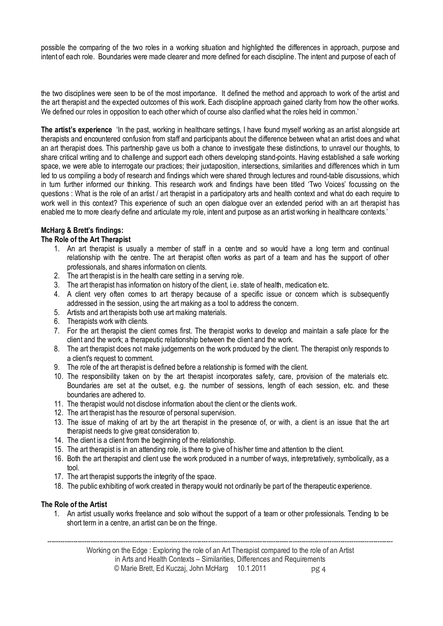possible the comparing of the two roles in a working situation and highlighted the differences in approach, purpose and intent of each role. Boundaries were made clearer and more defined for each discipline. The intent and purpose of each of

the two disciplines were seen to be of the most importance. It defined the method and approach to work of the artist and the art therapist and the expected outcomes of this work. Each discipline approach gained clarity from how the other works. We defined our roles in opposition to each other which of course also clarified what the roles held in common.'

**The artist's experience** 'In the past, working in healthcare settings, I have found myself working as an artist alongside art therapists and encountered confusion from staff and participants about the difference between what an artist does and what an art therapist does. This partnership gave us both a chance to investigate these distinctions, to unravel our thoughts, to share critical writing and to challenge and support each others developing stand-points. Having established a safe working space, we were able to interrogate our practices; their juxtaposition, intersections, similarities and differences which in turn led to us compiling a body of research and findings which were shared through lectures and round-table discussions, which in turn further informed our thinking. This research work and findings have been titled 'Two Voices' focussing on the questions : What is the role of an artist / art therapist in a participatory arts and health context and what do each require to work well in this context? This experience of such an open dialogue over an extended period with an art therapist has enabled me to more clearly define and articulate my role, intent and purpose as an artist working in healthcare contexts.'

# **McHarg & Brett's findings:**

# **The Role of the Art Therapist**

- 1. An art therapist is usually a member of staff in a centre and so would have a long term and continual relationship with the centre. The art therapist often works as part of a team and has the support of other professionals, and shares information on clients.
- 2. The art therapist is in the health care setting in a serving role.
- 3. The art therapist has information on history of the client, i.e. state of health, medication etc.
- 4. A client very often comes to art therapy because of a specific issue or concern which is subsequently addressed in the session, using the art making as a tool to address the concern.
- 5. Artists and art therapists both use art making materials.
- 6. Therapists work with clients.
- 7. For the art therapist the client comes first. The therapist works to develop and maintain a safe place for the client and the work; a therapeutic relationship between the client and the work.
- 8. The art therapist does not make judgements on the work produced by the client. The therapist only responds to a client's request to comment.
- 9. The role of the art therapist is defined before a relationship is formed with the client.
- 10. The responsibility taken on by the art therapist incorporates safety, care, provision of the materials etc. Boundaries are set at the outset, e.g. the number of sessions, length of each session, etc. and these boundaries are adhered to.
- 11. The therapist would not disclose information about the client or the clients work.
- 12. The art therapist has the resource of personal supervision.
- 13. The issue of making of art by the art therapist in the presence of, or with, a client is an issue that the art therapist needs to give great consideration to.
- 14. The client is a client from the beginning of the relationship.
- 15. The art therapist is in an attending role, is there to give of his/her time and attention to the client.
- 16. Both the art therapist and client use the work produced in a number of ways, interpretatively, symbolically, as a tool.
- 17. The art therapist supports the integrity of the space.
- 18. The public exhibiting of work created in therapy would not ordinarily be part of the therapeutic experience.

### **The Role of the Artist**

1. An artist usually works freelance and solo without the support of a team or other professionals. Tending to be short term in a centre, an artist can be on the fringe.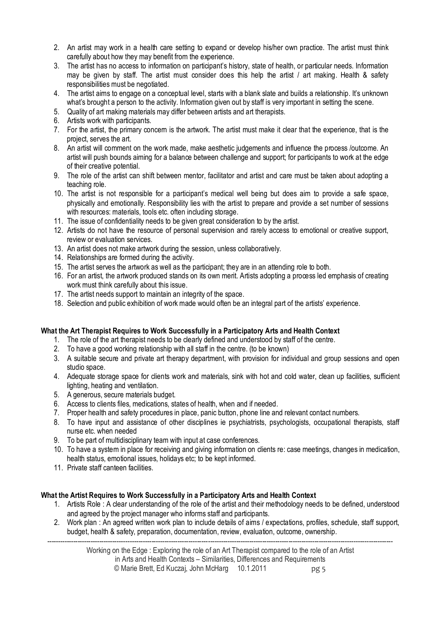- 2. An artist may work in a health care setting to expand or develop his/her own practice. The artist must think carefully about how they may benefit from the experience.
- 3. The artist has no access to information on participant's history, state of health, or particular needs. Information may be given by staff. The artist must consider does this help the artist / art making. Health & safety responsibilities must be negotiated.
- 4. The artist aims to engage on a conceptual level, starts with a blank slate and builds a relationship. It's unknown what's brought a person to the activity. Information given out by staff is very important in setting the scene.
- 5. Quality of art making materials may differ between artists and art therapists.
- 6. Artists work with participants.
- 7. For the artist, the primary concern is the artwork. The artist must make it clear that the experience, that is the project, serves the art.
- 8. An artist will comment on the work made, make aesthetic judgements and influence the process /outcome. An artist will push bounds aiming for a balance between challenge and support; for participants to work at the edge of their creative potential.
- 9. The role of the artist can shift between mentor, facilitator and artist and care must be taken about adopting a teaching role.
- 10. The artist is not responsible for a participant's medical well being but does aim to provide a safe space, physically and emotionally. Responsibility lies with the artist to prepare and provide a set number of sessions with resources: materials, tools etc. often including storage.
- 11. The issue of confidentiality needs to be given great consideration to by the artist.
- 12. Artists do not have the resource of personal supervision and rarely access to emotional or creative support, review or evaluation services.
- 13. An artist does not make artwork during the session, unless collaboratively.
- 14. Relationships are formed during the activity.
- 15. The artist serves the artwork as well as the participant; they are in an attending role to both.
- 16. For an artist, the artwork produced stands on its own merit. Artists adopting a process led emphasis of creating work must think carefully about this issue.
- 17. The artist needs support to maintain an integrity of the space.
- 18. Selection and public exhibition of work made would often be an integral part of the artists' experience.

### **What the Art Therapist Requires to Work Successfully in a Participatory Arts and Health Context**

- 1. The role of the art therapist needs to be clearly defined and understood by staff of the centre.
- 2. To have a good working relationship with all staff in the centre. (to be known)
- 3. A suitable secure and private art therapy department, with provision for individual and group sessions and open studio space.
- 4. Adequate storage space for clients work and materials, sink with hot and cold water, clean up facilities, sufficient lighting, heating and ventilation.
- 5. A generous, secure materials budget.
- 6. Access to clients files, medications, states of health, when and if needed.
- 7. Proper health and safety procedures in place, panic button, phone line and relevant contact numbers.
- 8. To have input and assistance of other disciplines ie psychiatrists, psychologists, occupational therapists, staff nurse etc. when needed
- 9. To be part of multidisciplinary team with input at case conferences.
- 10. To have a system in place for receiving and giving information on clients re: case meetings, changes in medication, health status, emotional issues, holidays etc; to be kept informed.
- 11. Private staff canteen facilities.

### **What the Artist Requires to Work Successfully in a Participatory Arts and Health Context**

- 1. Artists Role : A clear understanding of the role of the artist and their methodology needs to be defined, understood and agreed by the project manager who informs staff and participants.
- 2. Work plan : An agreed written work plan to include details of aims / expectations, profiles, schedule, staff support, budget, health & safety, preparation, documentation, review, evaluation, outcome, ownership.

--------------------------------------------------------------------------------------------------------------------------------------------------------------- Working on the Edge : Exploring the role of an Art Therapist compared to the role of an Artist in Arts and Health Contexts – Similarities, Differences and Requirements © Marie Brett, Ed Kuczaj, John McHarg 10.1.2011 pg 5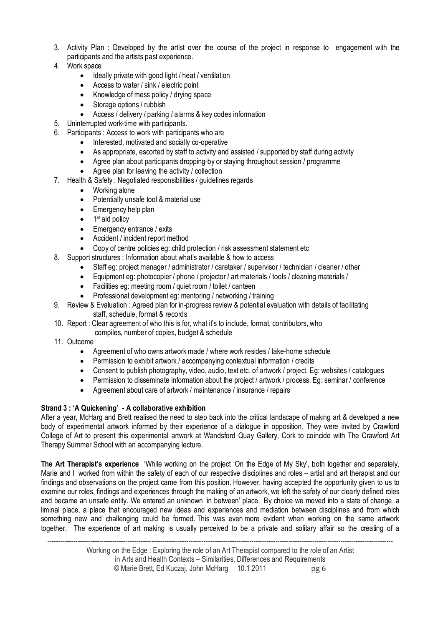- 3. Activity Plan : Developed by the artist over the course of the project in response to engagement with the participants and the artists past experience.
- 4. Work space
	- Ideally private with good light / heat / ventilation
	- Access to water / sink / electric point
	- Knowledge of mess policy / drying space
	- Storage options / rubbish
	- � Access / delivery / parking / alarms & key codes information
- 5. Uninterrupted work-time with participants.
- 6. Participants : Access to work with participants who are
	- � Interested, motivated and socially co-operative
	- � As appropriate, escorted by staff to activity and assisted / supported by staff during activity
	- � Agree plan about participants dropping-by or staying throughout session / programme
		- Agree plan for leaving the activity / collection
- 7. Health & Safety : Negotiated responsibilities / guidelines regards
	- Working alone
	- � Potentially unsafe tool & material use
	- Emergency help plan
	- $\bullet$  1<sup>st</sup> aid policy
	- Emergency entrance / exits
	- Accident / incident report method
	- Copy of centre policies eg: child protection / risk assessment statement etc
- 8. Support structures : Information about what's available & how to access
	- � Staff eg: project manager / administrator / caretaker / supervisor / technician / cleaner / other
	- � Equipment eg: photocopier / phone / projector / art materials / tools / cleaning materials /
	- � Facilities eg: meeting room / quiet room / toilet / canteen
	- � Professional development eg: mentoring / networking / training
- 9. Review & Evaluation : Agreed plan for in-progress review & potential evaluation with details of facilitating staff, schedule, format & records
- 10. Report : Clear agreement of who this is for, what it's to include, format, contributors, who
	- compiles, number of copies, budget & schedule
- 11. Outcome
	- � Agreement of who owns artwork made / where work resides / take-home schedule
	- Permission to exhibit artwork / accompanying contextual information / credits
	- � Consent to publish photography, video, audio, text etc. of artwork / project. Eg: websites / catalogues
	- Permission to disseminate information about the project / artwork / process. Eq: seminar / conference
	- Agreement about care of artwork / maintenance / insurance / repairs

# **Strand 3 : 'A Quickening' - A collaborative exhibition**

After a vear. McHarg and Brett realised the need to step back into the critical landscape of making art & developed a new body of experimental artwork informed by their experience of a dialogue in opposition. They were invited by Crawford College of Art to present this experimental artwork at Wandsford Quay Gallery, Cork to coincide with The Crawford Art Therapy Summer School with an accompanying lecture.

**The Art Therapist's experience** 'While working on the project 'On the Edge of My Sky', both together and separately, Marie and I worked from within the safety of each of our respective disciplines and roles – artist and art therapist and our findings and observations on the project came from this position. However, having accepted the opportunity given to us to examine our roles, findings and experiences through the making of an artwork, we left the safety of our clearly defined roles and became an unsafe entity. We entered an unknown 'in between' place. By choice we moved into a state of change, a liminal place, a place that encouraged new ideas and experiences and mediation between disciplines and from which something new and challenging could be formed. This was even more evident when working on the same artwork together. The experience of art making is usually perceived to be a private and solitary affair so the creating of a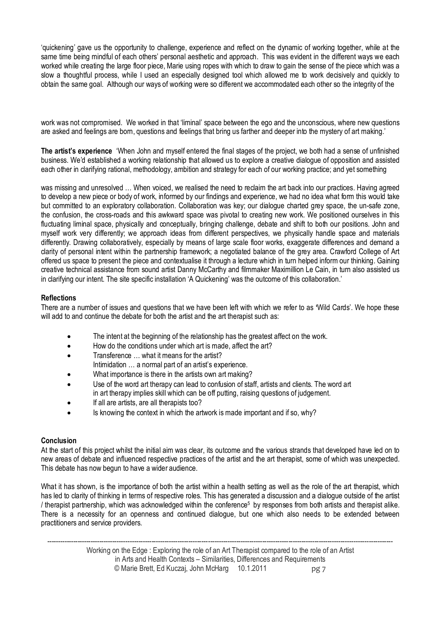'quickening' gave us the opportunity to challenge, experience and reflect on the dynamic of working together, while at the same time being mindful of each others' personal aesthetic and approach. This was evident in the different ways we each worked while creating the large floor piece, Marie using ropes with which to draw to gain the sense of the piece which was a slow a thoughtful process, while I used an especially designed tool which allowed me to work decisively and quickly to obtain the same goal. Although our ways of working were so different we accommodated each other so the integrity of the

work was not compromised. We worked in that 'liminal' space between the ego and the unconscious, where new questions are asked and feelings are born, questions and feelings that bring us farther and deeper into the mystery of art making.'

**The artist's experience** 'When John and myself entered the final stages of the project, we both had a sense of unfinished business. We'd established a working relationship that allowed us to explore a creative dialogue of opposition and assisted each other in clarifying rational, methodology, ambition and strategy for each of our working practice; and yet something

was missing and unresolved … When voiced, we realised the need to reclaim the art back into our practices. Having agreed to develop a new piece or body of work, informed by our findings and experience, we had no idea what form this would take but committed to an exploratory collaboration. Collaboration was key; our dialogue charted grey space, the un-safe zone, the confusion, the cross-roads and this awkward space was pivotal to creating new work. We positioned ourselves in this fluctuating liminal space, physically and conceptually, bringing challenge, debate and shift to both our positions. John and myself work very differently; we approach ideas from different perspectives, we physically handle space and materials differently. Drawing collaboratively, especially by means of large scale floor works, exaggerate differences and demand a clarity of personal intent within the partnership framework; a negotiated balance of the grey area. Crawford College of Art offered us space to present the piece and contextualise it through a lecture which in turn helped inform our thinking. Gaining creative technical assistance from sound artist Danny McCarthy and filmmaker Maximillion Le Cain, in turn also assisted us in clarifying our intent. The site specific installation 'A Quickening' was the outcome of this collaboration.'

# **Reflections**

There are a number of issues and questions that we have been left with which we refer to as **'**Wild Cards'. We hope these will add to and continue the debate for both the artist and the art therapist such as:

- The intent at the beginning of the relationship has the greatest affect on the work.
- $\bullet$  How do the conditions under which art is made, affect the art?
- Transference what it means for the artist?
- Intimidation … a normal part of an artist's experience.
- What importance is there in the artists own art making?
- � Use of the word art therapy can lead to confusion of staff, artists and clients. The word art in art therapy implies skill which can be off putting, raising questions of judgement.
- If all are artists, are all therapists too?
- Is knowing the context in which the artwork is made important and if so, why?

### **Conclusion**

At the start of this project whilst the initial aim was clear, its outcome and the various strands that developed have led on to new areas of debate and influenced respective practices of the artist and the art therapist, some of which was unexpected. This debate has now begun to have a wider audience.

What it has shown, is the importance of both the artist within a health setting as well as the role of the art therapist, which has led to clarity of thinking in terms of respective roles. This has generated a discussion and a dialogue outside of the artist / therapist partnership, which was acknowledged within the conference5 by responses from both artists and therapist alike. There is a necessity for an openness and continued dialogue, but one which also needs to be extended between practitioners and service providers.

--------------------------------------------------------------------------------------------------------------------------------------------------------------- Working on the Edge : Exploring the role of an Art Therapist compared to the role of an Artist in Arts and Health Contexts – Similarities, Differences and Requirements © Marie Brett, Ed Kuczaj, John McHarg 10.1.2011 pg 7